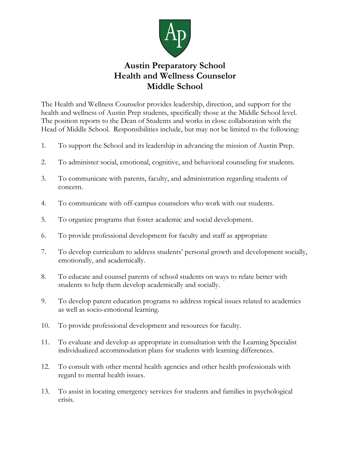

## **Austin Preparatory School Health and Wellness Counselor Middle School**

The Health and Wellness Counselor provides leadership, direction, and support for the health and wellness of Austin Prep students, specifically those at the Middle School level. The position reports to the Dean of Students and works in close collaboration with the Head of Middle School. Responsibilities include, but may not be limited to the following:

- 1. To support the School and its leadership in advancing the mission of Austin Prep.
- 2. To administer social, emotional, cognitive, and behavioral counseling for students.
- 3. To communicate with parents, faculty, and administration regarding students of concern.
- 4. To communicate with off-campus counselors who work with our students.
- 5. To organize programs that foster academic and social development.
- 6. To provide professional development for faculty and staff as appropriate
- 7. To develop curriculum to address students' personal growth and development socially, emotionally, and academically.
- 8. To educate and counsel parents of school students on ways to relate better with students to help them develop academically and socially.
- 9. To develop parent education programs to address topical issues related to academics as well as socio-emotional learning.
- 10. To provide professional development and resources for faculty.
- 11. To evaluate and develop as appropriate in consultation with the Learning Specialist individualized accommodation plans for students with learning differences.
- 12. To consult with other mental health agencies and other health professionals with regard to mental health issues.
- 13. To assist in locating emergency services for students and families in psychological crisis.